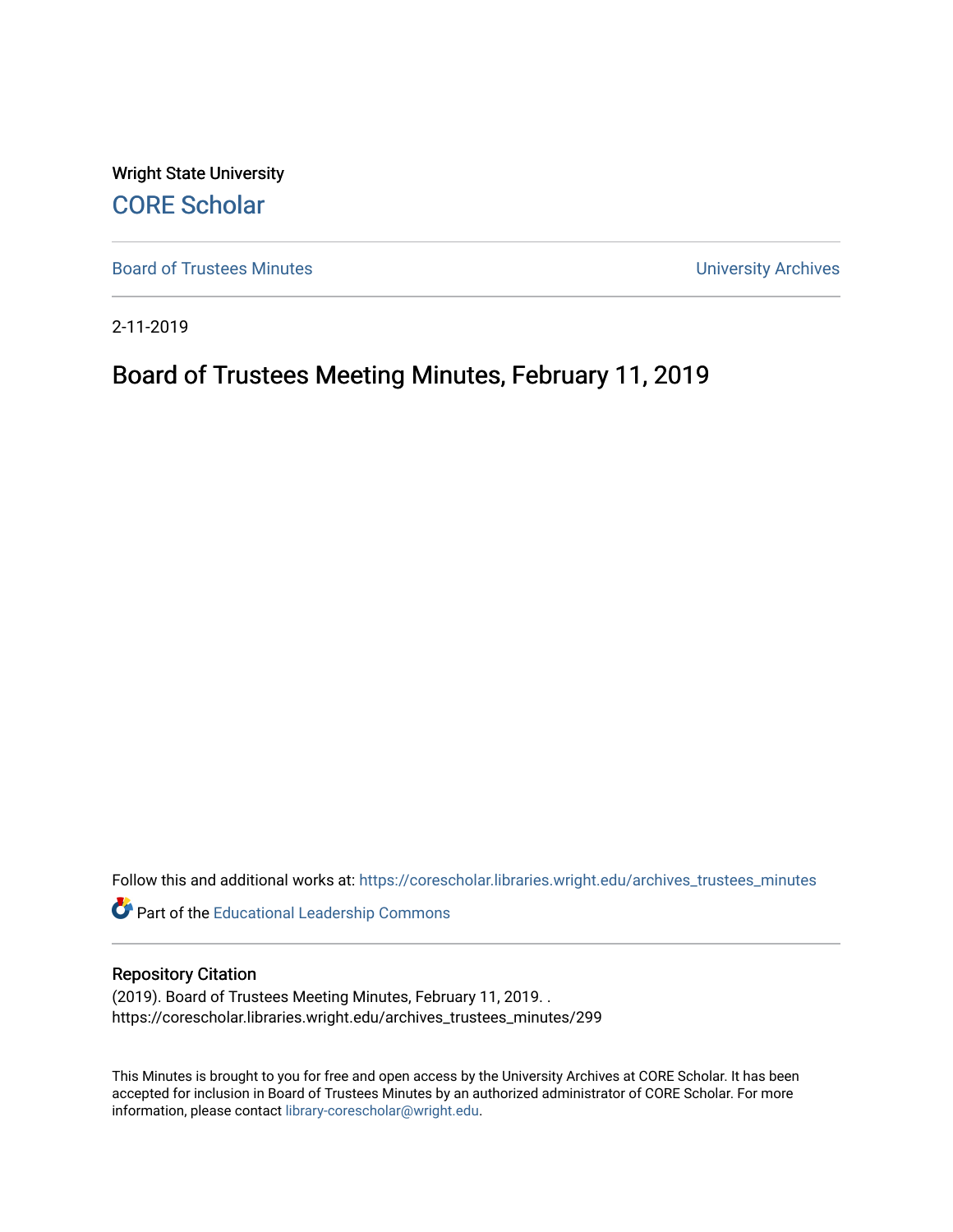Wright State University [CORE Scholar](https://corescholar.libraries.wright.edu/)

[Board of Trustees Minutes](https://corescholar.libraries.wright.edu/archives_trustees_minutes) **Exercise 2018** Solution 2018 10:30 Minutes University Archives

2-11-2019

# Board of Trustees Meeting Minutes, February 11, 2019

Follow this and additional works at: [https://corescholar.libraries.wright.edu/archives\\_trustees\\_minutes](https://corescholar.libraries.wright.edu/archives_trustees_minutes?utm_source=corescholar.libraries.wright.edu%2Farchives_trustees_minutes%2F299&utm_medium=PDF&utm_campaign=PDFCoverPages) 

Part of the [Educational Leadership Commons](https://network.bepress.com/hgg/discipline/1230?utm_source=corescholar.libraries.wright.edu%2Farchives_trustees_minutes%2F299&utm_medium=PDF&utm_campaign=PDFCoverPages) 

#### Repository Citation

(2019). Board of Trustees Meeting Minutes, February 11, 2019. . https://corescholar.libraries.wright.edu/archives\_trustees\_minutes/299

This Minutes is brought to you for free and open access by the University Archives at CORE Scholar. It has been accepted for inclusion in Board of Trustees Minutes by an authorized administrator of CORE Scholar. For more information, please contact [library-corescholar@wright.edu.](mailto:library-corescholar@wright.edu)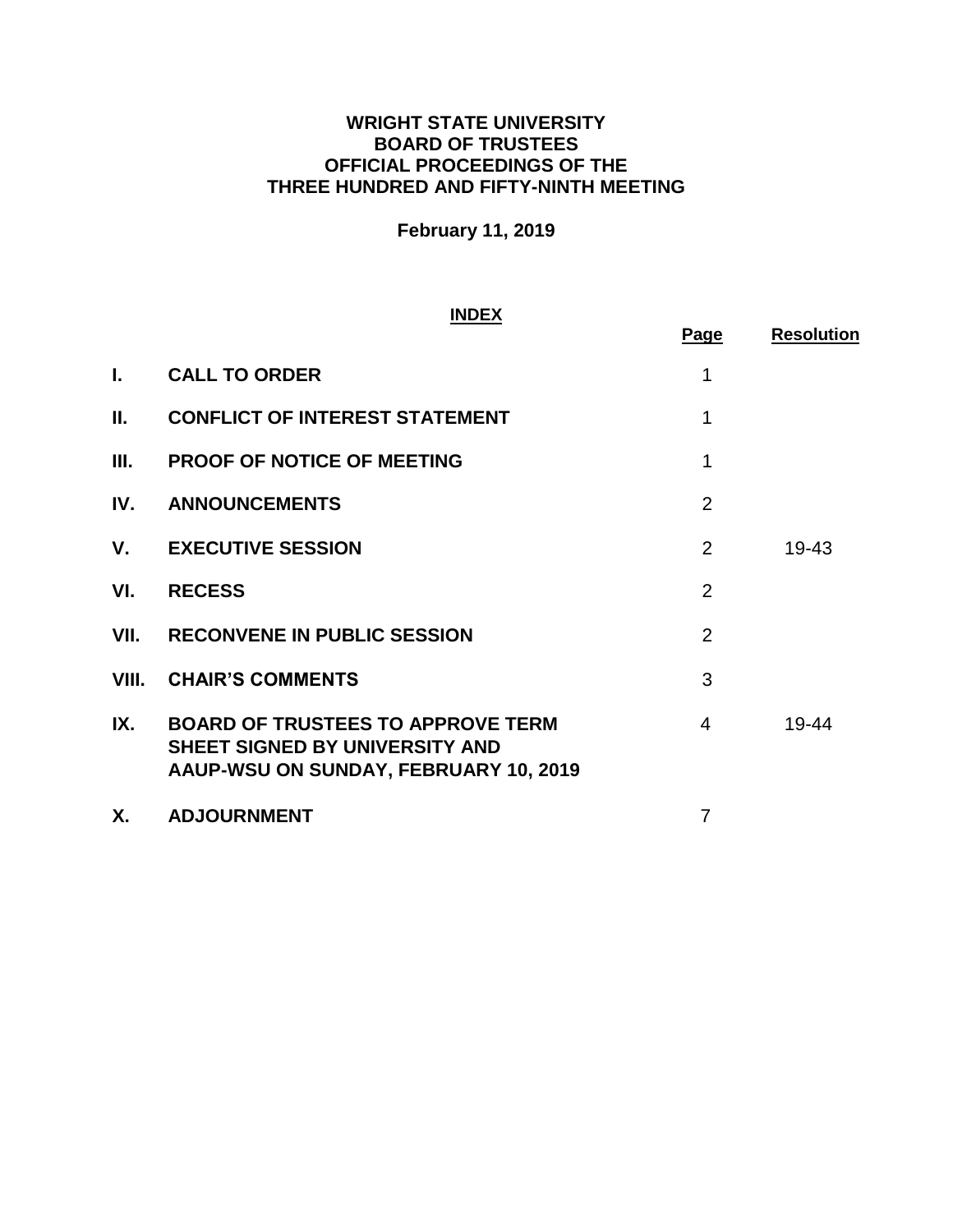## **WRIGHT STATE UNIVERSITY BOARD OF TRUSTEES OFFICIAL PROCEEDINGS OF THE THREE HUNDRED AND FIFTY-NINTH MEETING**

# **February 11, 2019**

#### **INDEX**

|       |                                                                                                                            | <b>Page</b>    | <b>Resolution</b> |
|-------|----------------------------------------------------------------------------------------------------------------------------|----------------|-------------------|
| L.    | <b>CALL TO ORDER</b>                                                                                                       | 1              |                   |
| Ш.    | <b>CONFLICT OF INTEREST STATEMENT</b>                                                                                      | 1              |                   |
| Ш.    | <b>PROOF OF NOTICE OF MEETING</b>                                                                                          | 1              |                   |
| IV.   | <b>ANNOUNCEMENTS</b>                                                                                                       | $\overline{2}$ |                   |
| V.    | <b>EXECUTIVE SESSION</b>                                                                                                   | 2              | 19-43             |
| VI.   | <b>RECESS</b>                                                                                                              | $\overline{2}$ |                   |
| VII.  | <b>RECONVENE IN PUBLIC SESSION</b>                                                                                         | $\overline{2}$ |                   |
| VIII. | <b>CHAIR'S COMMENTS</b>                                                                                                    | 3              |                   |
| IX.   | <b>BOARD OF TRUSTEES TO APPROVE TERM</b><br><b>SHEET SIGNED BY UNIVERSITY AND</b><br>AAUP-WSU ON SUNDAY, FEBRUARY 10, 2019 | 4              | 19-44             |
| Х.    | <b>ADJOURNMENT</b>                                                                                                         | 7              |                   |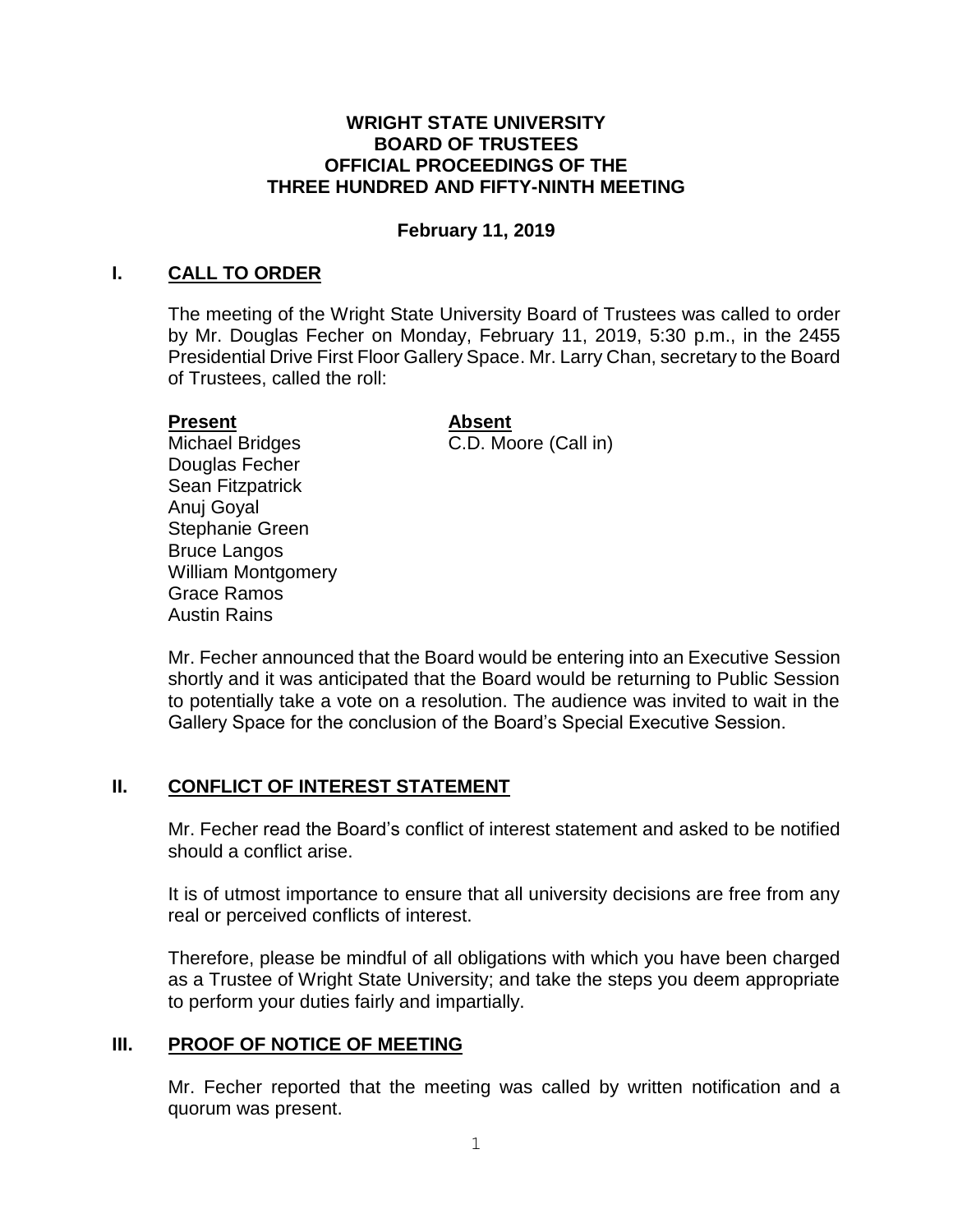#### **WRIGHT STATE UNIVERSITY BOARD OF TRUSTEES OFFICIAL PROCEEDINGS OF THE THREE HUNDRED AND FIFTY-NINTH MEETING**

## **February 11, 2019**

#### <span id="page-2-0"></span>**I. CALL TO ORDER**

The meeting of the Wright State University Board of Trustees was called to order by Mr. Douglas Fecher on Monday, February 11, 2019, 5:30 p.m., in the 2455 Presidential Drive First Floor Gallery Space. Mr. Larry Chan, secretary to the Board of Trustees, called the roll:

#### **Present**

# **Absent**

Michael Bridges Douglas Fecher Sean Fitzpatrick Anuj Goyal Stephanie Green Bruce Langos William Montgomery Grace Ramos Austin Rains

C.D. Moore (Call in)

Mr. Fecher announced that the Board would be entering into an Executive Session shortly and it was anticipated that the Board would be returning to Public Session to potentially take a vote on a resolution. The audience was invited to wait in the Gallery Space for the conclusion of the Board's Special Executive Session.

#### **II. CONFLICT OF INTEREST STATEMENT**

Mr. Fecher read the Board's conflict of interest statement and asked to be notified should a conflict arise.

It is of utmost importance to ensure that all university decisions are free from any real or perceived conflicts of interest.

Therefore, please be mindful of all obligations with which you have been charged as a Trustee of Wright State University; and take the steps you deem appropriate to perform your duties fairly and impartially.

#### **III. PROOF OF NOTICE OF MEETING**

Mr. Fecher reported that the meeting was called by written notification and a quorum was present.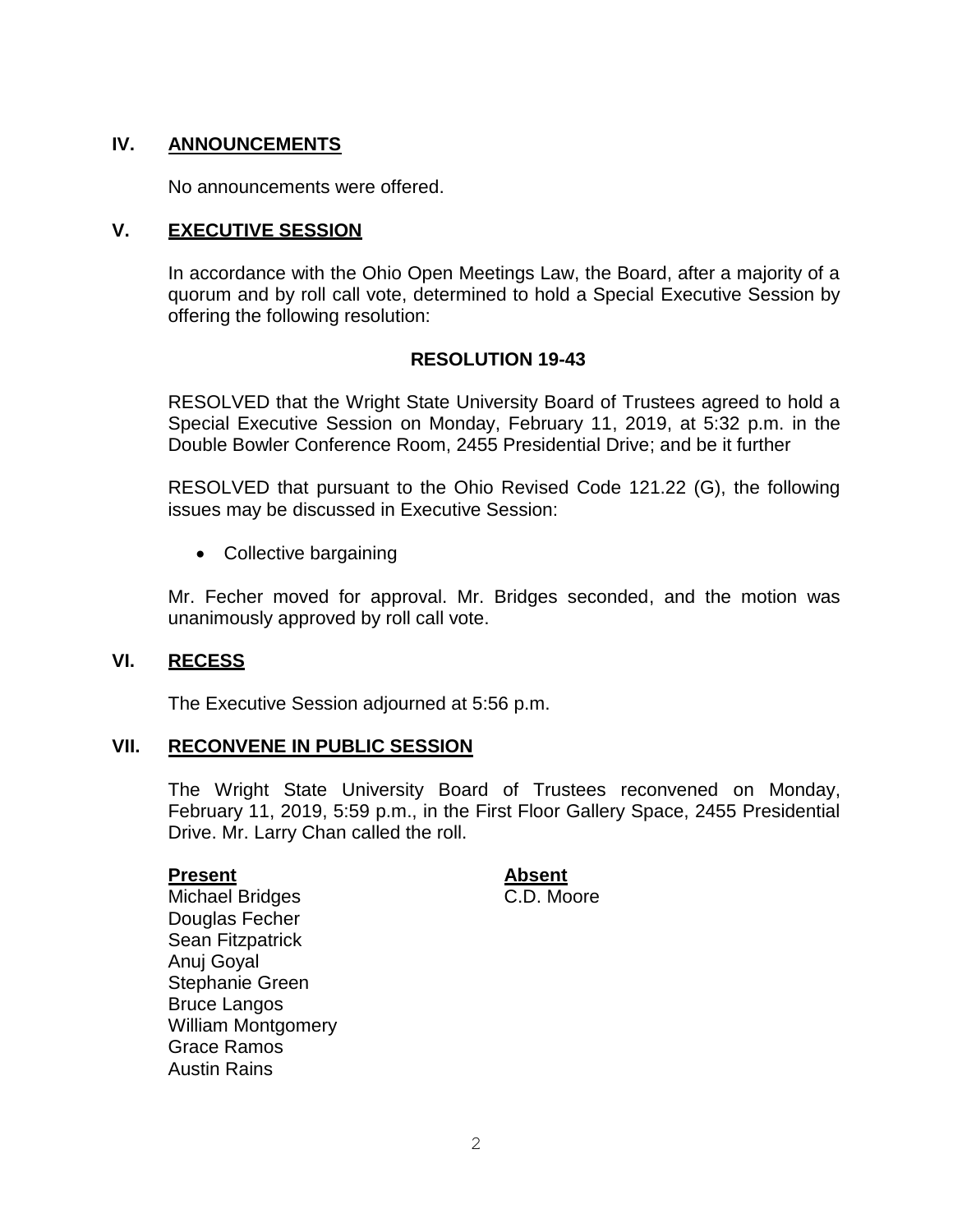## **IV. ANNOUNCEMENTS**

No announcements were offered.

#### **V. EXECUTIVE SESSION**

In accordance with the Ohio Open Meetings Law, the Board, after a majority of a quorum and by roll call vote, determined to hold a Special Executive Session by offering the following resolution:

#### **RESOLUTION 19-43**

RESOLVED that the Wright State University Board of Trustees agreed to hold a Special Executive Session on Monday, February 11, 2019, at 5:32 p.m. in the Double Bowler Conference Room, 2455 Presidential Drive; and be it further

RESOLVED that pursuant to the Ohio Revised Code 121.22 (G), the following issues may be discussed in Executive Session:

• Collective bargaining

Mr. Fecher moved for approval. Mr. Bridges seconded, and the motion was unanimously approved by roll call vote.

#### **VI. RECESS**

The Executive Session adjourned at 5:56 p.m.

## **VII. RECONVENE IN PUBLIC SESSION**

The Wright State University Board of Trustees reconvened on Monday, February 11, 2019, 5:59 p.m., in the First Floor Gallery Space, 2455 Presidential Drive. Mr. Larry Chan called the roll.

#### **Present**

**Absent**  C.D. Moore

Michael Bridges Douglas Fecher Sean Fitzpatrick Anuj Goyal Stephanie Green Bruce Langos William Montgomery Grace Ramos Austin Rains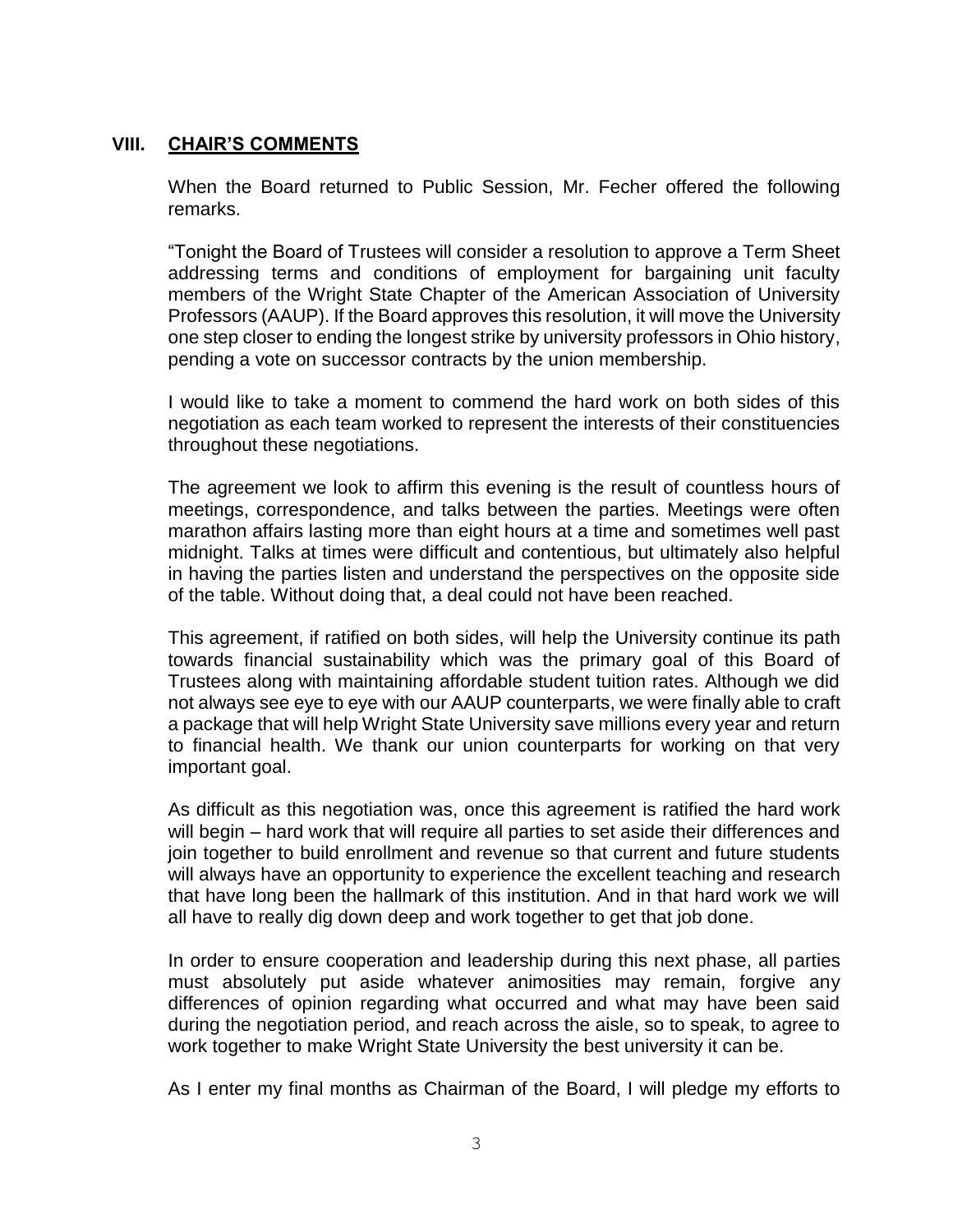## <span id="page-4-0"></span>**VIII. CHAIR'S COMMENTS**

 When the Board returned to Public Session, Mr. Fecher offered the following remarks.

 "Tonight the Board of Trustees will consider a resolution to approve a Term Sheet addressing terms and conditions of employment for bargaining unit faculty members of the Wright State Chapter of the American Association of University Professors (AAUP). If the Board approves this resolution, it will move the University one step closer to ending the longest strike by university professors in Ohio history, pending a vote on successor contracts by the union membership.

 I would like to take a moment to commend the hard work on both sides of this negotiation as each team worked to represent the interests of their constituencies throughout these negotiations.

 The agreement we look to affirm this evening is the result of countless hours of meetings, correspondence, and talks between the parties. Meetings were often marathon affairs lasting more than eight hours at a time and sometimes well past in having the parties listen and understand the perspectives on the opposite side of the table. Without doing that, a deal could not have been reached. midnight. Talks at times were difficult and contentious, but ultimately also helpful

 This agreement, if ratified on both sides, will help the University continue its path towards financial sustainability which was the primary goal of this Board of Trustees along with maintaining affordable student tuition rates. Although we did not always see eye to eye with our AAUP counterparts, we were finally able to craft a package that will help Wright State University save millions every year and return to financial health. We thank our union counterparts for working on that very important goal.

 As difficult as this negotiation was, once this agreement is ratified the hard work will begin – hard work that will require all parties to set aside their differences and join together to build enrollment and revenue so that current and future students will always have an opportunity to experience the excellent teaching and research that have long been the hallmark of this institution. And in that hard work we will all have to really dig down deep and work together to get that job done.

 In order to ensure cooperation and leadership during this next phase, all parties must absolutely put aside whatever animosities may remain, forgive any differences of opinion regarding what occurred and what may have been said during the negotiation period, and reach across the aisle, so to speak, to agree to work together to make Wright State University the best university it can be.

As I enter my final months as Chairman of the Board, I will pledge my efforts to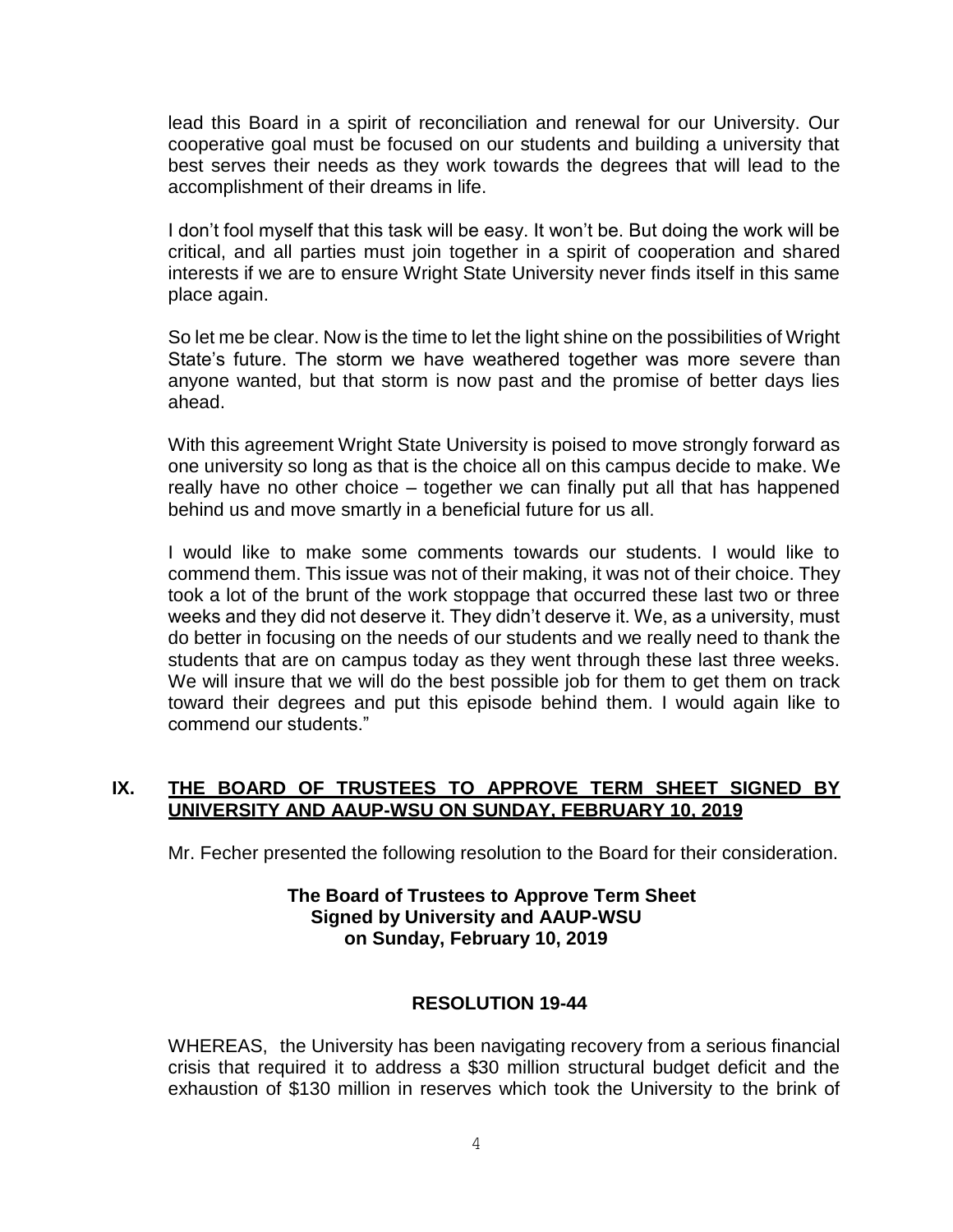lead this Board in a spirit of reconciliation and renewal for our University. Our cooperative goal must be focused on our students and building a university that best serves their needs as they work towards the degrees that will lead to the accomplishment of their dreams in life.

I don't fool myself that this task will be easy. It won't be. But doing the work will be critical, and all parties must join together in a spirit of cooperation and shared interests if we are to ensure Wright State University never finds itself in this same place again.

So let me be clear. Now is the time to let the light shine on the possibilities of Wright State's future. The storm we have weathered together was more severe than anyone wanted, but that storm is now past and the promise of better days lies ahead.

With this agreement Wright State University is poised to move strongly forward as one university so long as that is the choice all on this campus decide to make. We really have no other choice – together we can finally put all that has happened behind us and move smartly in a beneficial future for us all.

do better in focusing on the needs of our students and we really need to thank the students that are on campus today as they went through these last three weeks. We will insure that we will do the best possible job for them to get them on track toward their degrees and put this episode behind them. I would again like to commend our students." I would like to make some comments towards our students. I would like to commend them. This issue was not of their making, it was not of their choice. They took a lot of the brunt of the work stoppage that occurred these last two or three weeks and they did not deserve it. They didn't deserve it. We, as a university, must

## **IX. THE BOARD OF TRUSTEES TO APPROVE TERM SHEET SIGNED BY UNIVERSITY AND AAUP-WSU ON SUNDAY, FEBRUARY 10, 2019**

Mr. Fecher presented the following resolution to the Board for their consideration.

#### **The Board of Trustees to Approve Term Sheet Signed by University and AAUP-WSU on Sunday, February 10, 2019**

#### **RESOLUTION 19-44**

WHEREAS, the University has been navigating recovery from a serious financial crisis that required it to address a \$30 million structural budget deficit and the exhaustion of \$130 million in reserves which took the University to the brink of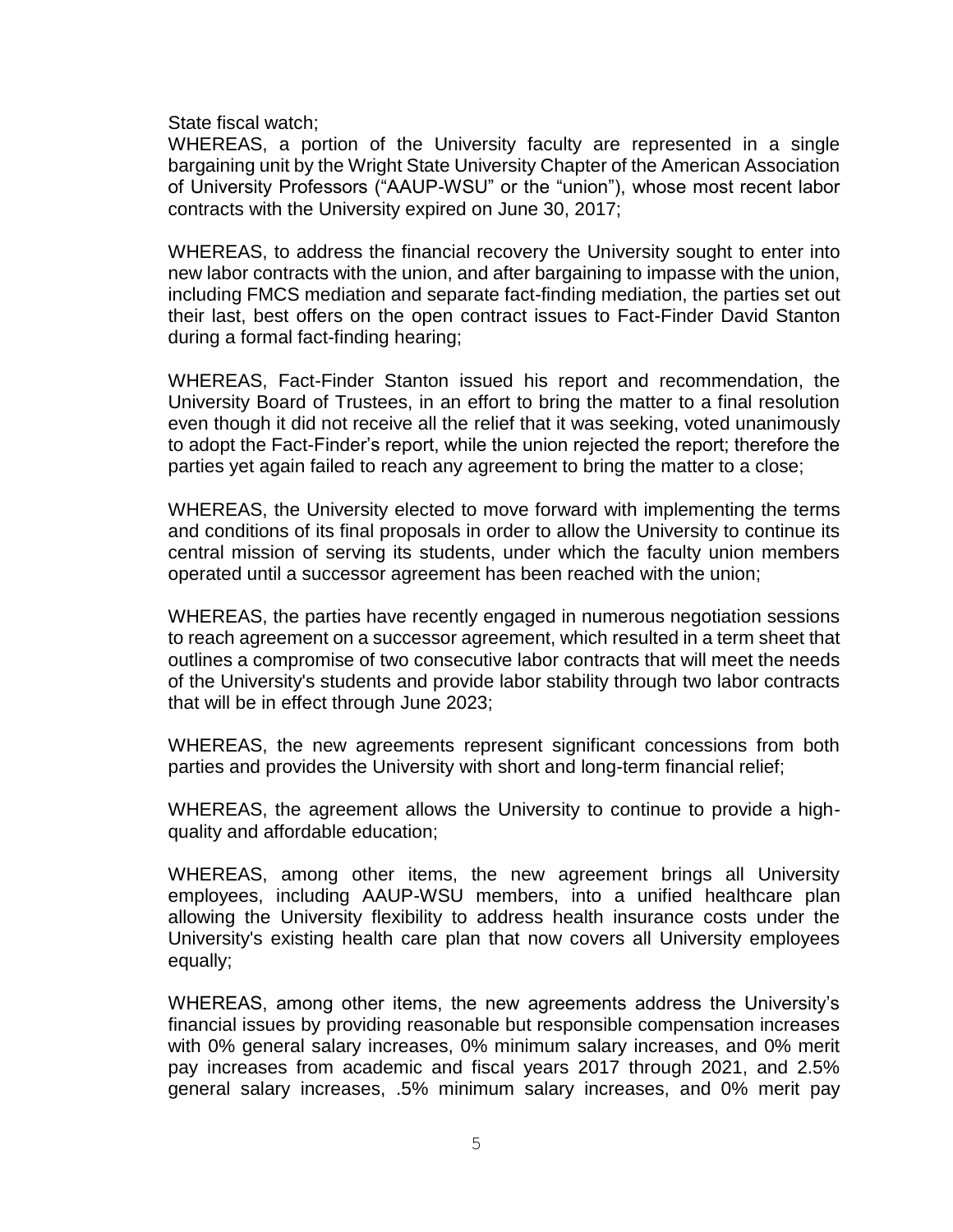State fiscal watch;

 WHEREAS, a portion of the University faculty are represented in a single bargaining unit by the Wright State University Chapter of the American Association of University Professors ("AAUP-WSU" or the "union"), whose most recent labor contracts with the University expired on June 30, 2017;

 WHEREAS, to address the financial recovery the University sought to enter into new labor contracts with the union, and after bargaining to impasse with the union, including FMCS mediation and separate fact-finding mediation, the parties set out their last, best offers on the open contract issues to Fact-Finder David Stanton during a formal fact-finding hearing;

 WHEREAS, Fact-Finder Stanton issued his report and recommendation, the University Board of Trustees, in an effort to bring the matter to a final resolution even though it did not receive all the relief that it was seeking, voted unanimously to adopt the Fact-Finder's report, while the union rejected the report; therefore the parties yet again failed to reach any agreement to bring the matter to a close;

 WHEREAS, the University elected to move forward with implementing the terms and conditions of its final proposals in order to allow the University to continue its central mission of serving its students, under which the faculty union members operated until a successor agreement has been reached with the union;

 WHEREAS, the parties have recently engaged in numerous negotiation sessions to reach agreement on a successor agreement, which resulted in a term sheet that outlines a compromise of two consecutive labor contracts that will meet the needs of the University's students and provide labor stability through two labor contracts that will be in effect through June 2023;

 WHEREAS, the new agreements represent significant concessions from both parties and provides the University with short and long-term financial relief;

 WHEREAS, the agreement allows the University to continue to provide a highquality and affordable education;

 WHEREAS, among other items, the new agreement brings all University employees, including AAUP-WSU members, into a unified healthcare plan allowing the University flexibility to address health insurance costs under the University's existing health care plan that now covers all University employees equally;

 WHEREAS, among other items, the new agreements address the University's financial issues by providing reasonable but responsible compensation increases with 0% general salary increases, 0% minimum salary increases, and 0% merit pay increases from academic and fiscal years 2017 through 2021, and 2.5% general salary increases, .5% minimum salary increases, and 0% merit pay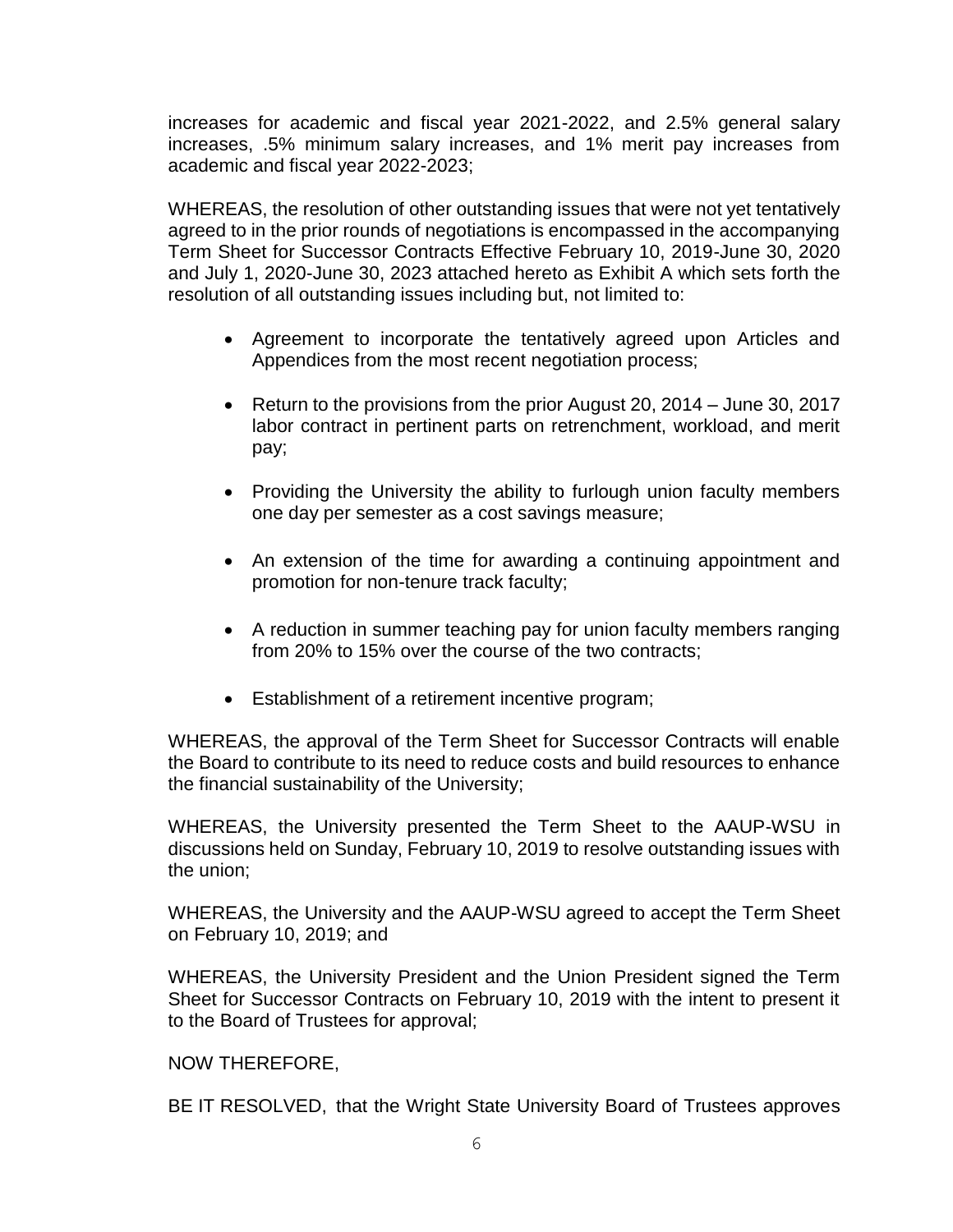increases for academic and fiscal year 2021-2022, and 2.5% general salary increases, .5% minimum salary increases, and 1% merit pay increases from academic and fiscal year 2022-2023;

WHEREAS, the resolution of other outstanding issues that were not yet tentatively agreed to in the prior rounds of negotiations is encompassed in the accompanying Term Sheet for Successor Contracts Effective February 10, 2019-June 30, 2020 and July 1, 2020-June 30, 2023 attached hereto as Exhibit A which sets forth the resolution of all outstanding issues including but, not limited to:

- Agreement to incorporate the tentatively agreed upon Articles and Appendices from the most recent negotiation process;
- Return to the provisions from the prior August 20, 2014 June 30, 2017 labor contract in pertinent parts on retrenchment, workload, and merit pay;
- Providing the University the ability to furlough union faculty members one day per semester as a cost savings measure;
- An extension of the time for awarding a continuing appointment and promotion for non-tenure track faculty;
- A reduction in summer teaching pay for union faculty members ranging from 20% to 15% over the course of the two contracts;
- Establishment of a retirement incentive program;

WHEREAS, the approval of the Term Sheet for Successor Contracts will enable the Board to contribute to its need to reduce costs and build resources to enhance the financial sustainability of the University;

 WHEREAS, the University presented the Term Sheet to the AAUP-WSU in discussions held on Sunday, February 10, 2019 to resolve outstanding issues with the union;

 WHEREAS, the University and the AAUP-WSU agreed to accept the Term Sheet on February 10, 2019; and

on February 10, 2019; and<br>WHEREAS, the University President and the Union President signed the Term Sheet for Successor Contracts on February 10, 2019 with the intent to present it to the Board of Trustees for approval;

#### NOW THEREFORE,

BE IT RESOLVED, that the Wright State University Board of Trustees approves